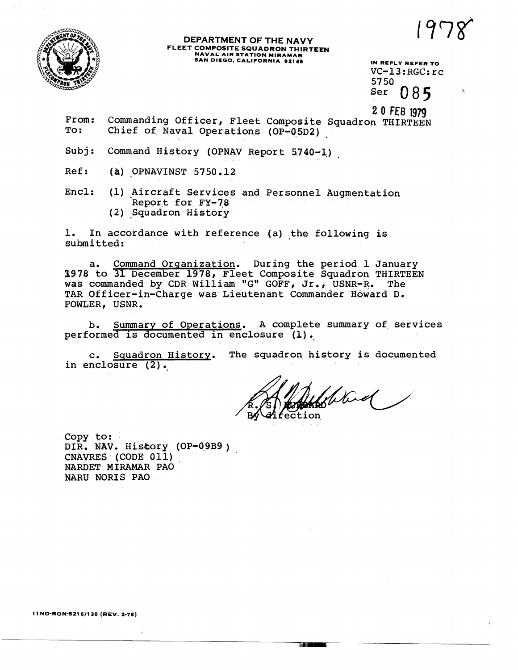

## **DEPARTMENT OF THE NAVY FLEET COMPOSITE SQUADRON THIRTEEN NAVAL AIR STATION MIRAMAR SAN DIEGO, CALIFORNIA 92145** IN REPLY REFER TO

VC-13:RGC:rc<br>5750 085 Ser

**2 0** FEB **1979** 

- From: Commanding Officer, Fleet Composite Squadron THIRTEEN<br>To: Chief of Naval Operations (OP-05D2) Chief of Naval Operations (OP-05D2)
- Subj: Command History (OPNAV Report 5740-1)
- Ref: **(a)** OPNAVINST 5750.12
- Encl: (1) Aircraft Services and Personnel Augmentation Report for FY-78 (2) Squadron History

1. In accordance with reference (a) the following is submitted:

a, Command Organization, During the period 1 January 1978 to 31 December 1978, Fleet Composite Squadron THIRTEEN<br>was commanded by CDR William "G" GOFF, Jr., USNR-R. The TAR Officer-in-Charge was Lieutenant Commander Howard D. FOWLER, USNR.

b. Summary of Operations. A complete summary of services performed is documented in enclosure (1).

c. Squadron History. The squadron history is documented in enclosure (2).

flowed

TRI 111 T

Copy to: DIR. NAV. History (OP-09B9) CNAVRES (CODE 011) NARDET MIRAMAR PA0 NARU NORIS PA0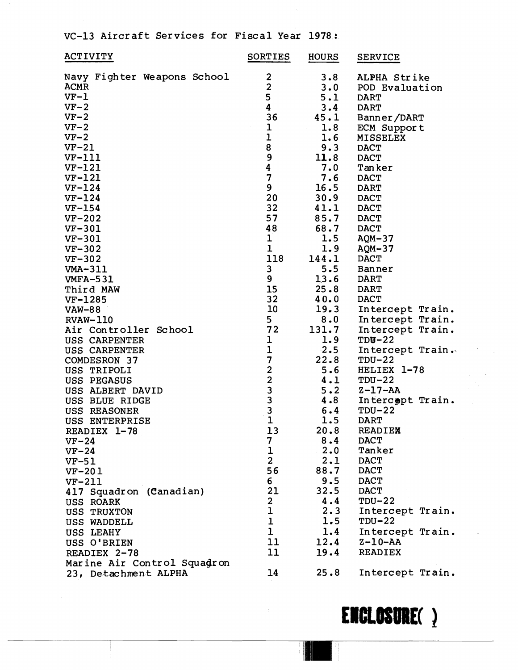VC-13 Aircraft Services for Fiscal Year 1978 :

| <b>ACTIVITY</b>             | SORTIES                 | <b>HOURS</b> | <b>SERVICE</b>   |
|-----------------------------|-------------------------|--------------|------------------|
| Navy Fighter Weapons School | $\mathbf{2}$            | 3.8          | ALPHA Strike     |
| <b>ACMR</b>                 | $\overline{\mathbf{c}}$ | 3.0          | POD Evaluation   |
| $VF-1$                      | 5                       | 5.1          | <b>DART</b>      |
| $VF-2$                      | 4                       | 3.4          | <b>DART</b>      |
| $VF-2$                      | 36                      | 45.1         | Banner/DART      |
| $VF-2$                      | $\mathbf 1$             | 1.8          | ECM Support      |
| $VF-2$                      | $\mathbf 1$             | 1.6          | <b>MISSELEX</b>  |
| $VF-21$                     | 8                       | 9.3          | <b>DACT</b>      |
| $VF-111$                    | 9                       | 11.8         | <b>DACT</b>      |
| $VF-121$                    | 4                       | 7.0          | Tanker           |
| $VF-121$                    | $\overline{\mathbf{z}}$ | 7.6          | <b>DACT</b>      |
| $VF-124$                    | $\boldsymbol{9}$        | 16.5         | <b>DART</b>      |
| $VF-124$                    | 20                      | 30.9         | <b>DACT</b>      |
| $VF-154$                    | 32                      | 41.1         | <b>DACT</b>      |
| $VF-202$                    | 57                      | 85.7         | <b>DACT</b>      |
| <b>VF-301</b>               | 48                      | 68.7         | <b>DACT</b>      |
| VF-301                      | $\mathbf{I}$            | 1.5          | $AQM-37$         |
| $VF-302$                    | $\mathbf{1}$            | 1.9          | $AQM-37$         |
| $VF-302$                    | 118                     | 144.1        | <b>DACT</b>      |
| VMA-311                     | 3                       | 5.5          | Banner           |
| <b>VMFA-531</b>             | 9                       | 13.6         | <b>DART</b>      |
| Third MAW                   | 15                      | 25.8         | <b>DART</b>      |
| VF-1285                     | 32                      | 40.0         | <b>DACT</b>      |
| <b>VAW-88</b>               | 10                      | 19.3         | Intercept Train. |
| <b>RVAW-110</b>             | 5                       | 8.0          | Intercept Train. |
| Air Controller School       | 72                      | 131.7        | Intercept Train. |
| USS CARPENTER               | ı                       | 1.9          | $TDU-22$         |
| USS CARPENTER               | $\mathbf 1$             | $\cdot$ 2.5  | Intercept Train. |
| <b>COMDESRON 37</b>         | 7                       | 22.8         | $TDU-22$         |
| USS TRIPOLI                 |                         | 5.6          | HELIEX 1-78      |
| USS PEGASUS                 | 223331                  | 4.1          | $TDU-22$         |
| USS ALBERT DAVID            |                         | 5.2          | $Z-17-AA$        |
| USS BLUE RIDGE              |                         | 4.8          | Intercopt Train. |
| USS REASONER                |                         | 6.4          | $TDU-22$         |
| USS ENTERPRISE              |                         | 1.5          | <b>DART</b>      |
| READIEX 1-78                | 13                      | 20.8         | <b>READIEX</b>   |
| $VF-24$                     | 7                       | 8.4          | <b>DACT</b>      |
| $VF-24$                     | $\mathbf 1$             | 2.0          | Tanker           |
| $VF-51$                     | $\overline{2}$          | 2.1          | <b>DACT</b>      |
| $VF-201$                    | 56                      | 88.7         | <b>DACT</b>      |
| <b>VF-211</b>               | 6                       | 9.5          | <b>DACT</b>      |
| 417 Squadron (Canadian)     | 21                      | 32.5         | <b>DACT</b>      |
| USS ROARK                   | $\mathbf{2}$            | 4.4          | $TDU-22$         |
| <b>USS TRUXTON</b>          | 1                       | 2.3          | Intercept Train. |
| USS WADDELL                 | ı                       | 1.5          | $TDU-22$         |
| USS LEAHY                   | $\mathbf 1$             | 1.4          | Intercept Train. |
| USS O'BRIEN                 | 11                      | 12.4         | $Z - 10 - AA$    |
| READIEX 2-78                | 11                      | 19.4         | <b>READIEX</b>   |
|                             |                         |              |                  |
| Marine Air Control Squadron | 14                      | 25.8         |                  |
| 23, Detachment ALPHA        |                         |              | Intercept Train. |

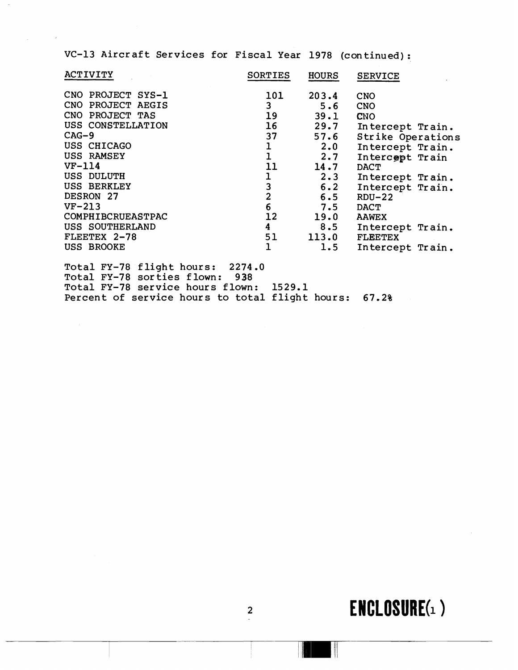VC-13 Aircraft Services for Fiscal Year 1978 (continued) :

| <b>ACTIVITY</b>    | <b>SORTIES</b> | <b>HOURS</b> | <b>SERVICE</b>    |
|--------------------|----------------|--------------|-------------------|
| CNO PROJECT SYS-1  | 101            | 203.4        | <b>CNO</b>        |
| CNO PROJECT AEGIS  | 3 <sup>1</sup> | 5.6          | <b>CNO</b>        |
| CNO PROJECT TAS    | 19             | 39.1         | <b>CNO</b>        |
| USS CONSTELLATION  | 16             | 29.7         | Intercept Train.  |
| $CAG-9$            | 37             | 57.6         | Strike Operations |
| USS CHICAGO        |                | 2.0          | Intercept Train.  |
| USS RAMSEY         | $\mathbf{1}$   | 2.7          | Intercept Train   |
| $VF-114$           | 11             | 14.7         | <b>DACT</b>       |
| USS DULUTH         |                | $2 \cdot 3$  | Intercept Train.  |
| <b>USS BERKLEY</b> | $\frac{1}{3}$  | 6.2          | Intercept Train.  |
| DESRON 27          | $\overline{2}$ | 6.5          | $RDU-22$          |
| $VF-213$           | $6\phantom{1}$ | 7.5          | <b>DACT</b>       |
| COMPHIBCRUEASTPAC  | 12             | 19.0         | <b>AAWEX</b>      |
| USS SOUTHERLAND    | 4              | 8.5          | Intercept Train.  |
| FLEETEX 2-78       | 51             | 113.0        | <b>FLEETEX</b>    |
| USS BROOKE         | ı              | 1.5          | Intercept Train.  |

Total FY-78 flight hours: 2274.0 Total FY-78 sorties flown: 938 Total FY-78 service hours flown: 1529.1 Percent of service hours to total flight hours: 67.2%

 $\mathcal{A}^{\mathcal{A}}$ 

## $ENCLOSURE(1)$